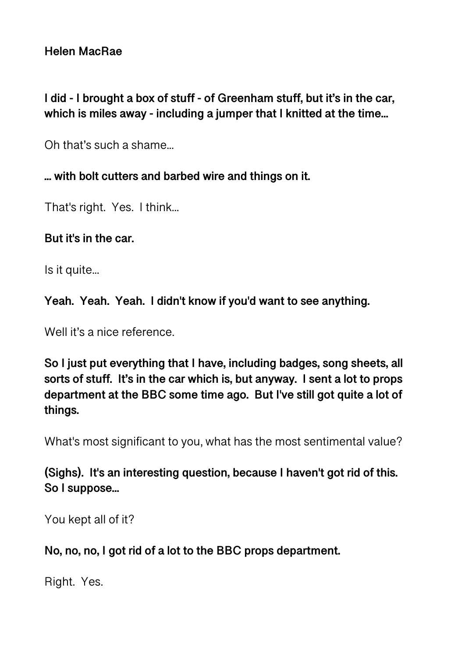## **I did - I brought a box of stuff - of Greenham stuff, but it's in the car, which is miles away - including a jumper that I knitted at the time...**

Oh that's such a shame...

## **... with bolt cutters and barbed wire and things on it.**

That's right. Yes. I think...

## **But it's in the car.**

Is it quite...

**Yeah. Yeah. Yeah. I didn't know if you'd want to see anything.** 

Well it's a nice reference.

**So I just put everything that I have, including badges, song sheets, all sorts of stuff. It's in the car which is, but anyway. I sent a lot to props department at the BBC some time ago. But I've still got quite a lot of things.** 

What's most significant to you, what has the most sentimental value?

**(Sighs). It's an interesting question, because I haven't got rid of this. So I suppose...** 

You kept all of it?

**No, no, no, I got rid of a lot to the BBC props department.** 

Right. Yes.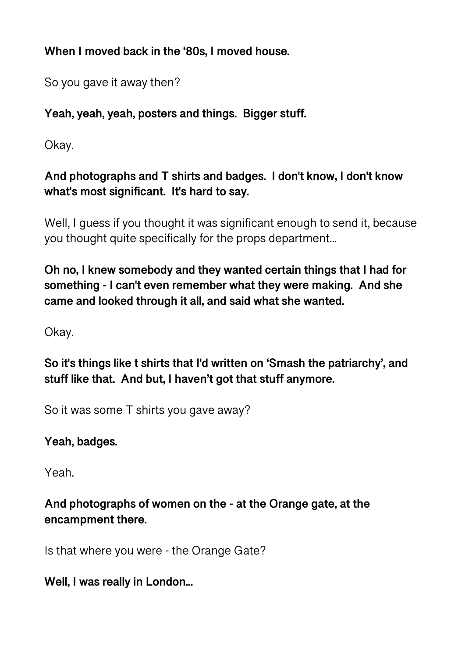**When I moved back in the '80s, I moved house.** 

So you gave it away then?

## **Yeah, yeah, yeah, posters and things. Bigger stuff.**

Okay.

## **And photographs and T shirts and badges. I don't know, I don't know what's most significant. It's hard to say.**

Well, I guess if you thought it was significant enough to send it, because you thought quite specifically for the props department...

**Oh no, I knew somebody and they wanted certain things that I had for something - I can't even remember what they were making. And she came and looked through it all, and said what she wanted.** 

Okay.

**So it's things like t shirts that I'd written on 'Smash the patriarchy', and stuff like that. And but, I haven't got that stuff anymore.** 

So it was some T shirts you gave away?

# **Yeah, badges.**

Yeah.

## **And photographs of women on the - at the Orange gate, at the encampment there.**

Is that where you were - the Orange Gate?

# **Well, I was really in London...**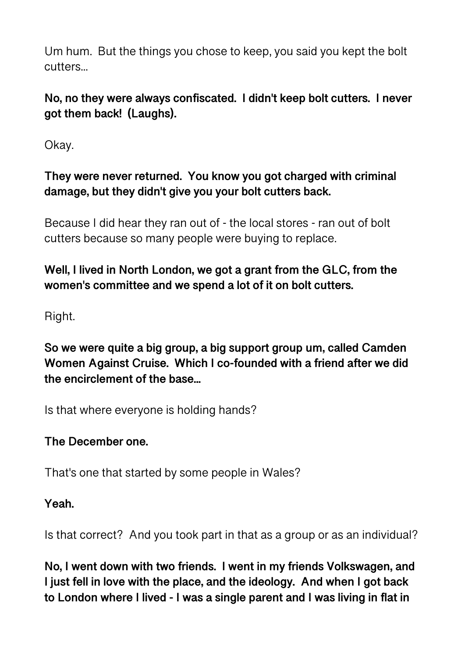Um hum. But the things you chose to keep, you said you kept the bolt cutters...

**No, no they were always confiscated. I didn't keep bolt cutters. I never got them back! (Laughs).** 

Okay.

**They were never returned. You know you got charged with criminal damage, but they didn't give you your bolt cutters back.** 

Because I did hear they ran out of - the local stores - ran out of bolt cutters because so many people were buying to replace.

## **Well, I lived in North London, we got a grant from the GLC, from the women's committee and we spend a lot of it on bolt cutters.**

Right.

**So we were quite a big group, a big support group um, called Camden Women Against Cruise. Which I co-founded with a friend after we did the encirclement of the base...** 

Is that where everyone is holding hands?

## **The December one.**

That's one that started by some people in Wales?

**Yeah.** 

Is that correct? And you took part in that as a group or as an individual?

**No, I went down with two friends. I went in my friends Volkswagen, and I just fell in love with the place, and the ideology. And when I got back to London where I lived - I was a single parent and I was living in flat in**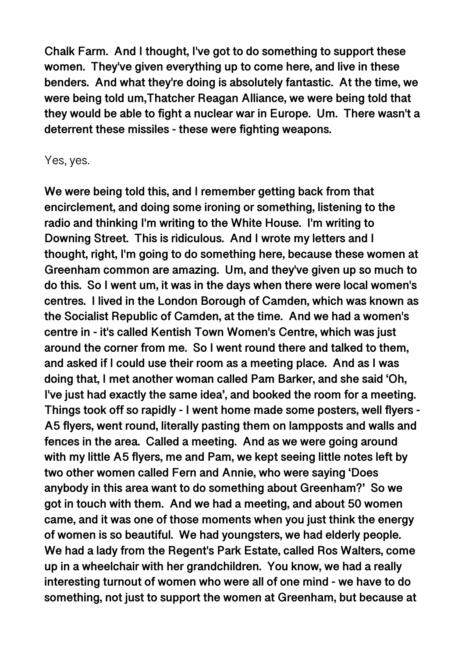**Chalk Farm. And I thought, I've got to do something to support these women. They've given everything up to come here, and live in these benders. And what they're doing is absolutely fantastic. At the time, we were being told um,Thatcher Reagan Alliance, we were being told that they would be able to fight a nuclear war in Europe. Um. There wasn't a deterrent these missiles - these were fighting weapons.** 

Yes, yes.

**We were being told this, and I remember getting back from that encirclement, and doing some ironing or something, listening to the radio and thinking I'm writing to the White House. I'm writing to Downing Street. This is ridiculous. And I wrote my letters and I thought, right, I'm going to do something here, because these women at Greenham common are amazing. Um, and they've given up so much to do this. So I went um, it was in the days when there were local women's centres. I lived in the London Borough of Camden, which was known as the Socialist Republic of Camden, at the time. And we had a women's centre in - it's called Kentish Town Women's Centre, which was just around the corner from me. So I went round there and talked to them, and asked if I could use their room as a meeting place. And as I was doing that, I met another woman called Pam Barker, and she said 'Oh, I've just had exactly the same idea', and booked the room for a meeting. Things took off so rapidly - I went home made some posters, well flyers - A5 flyers, went round, literally pasting them on lampposts and walls and fences in the area. Called a meeting. And as we were going around with my little A5 flyers, me and Pam, we kept seeing little notes left by two other women called Fern and Annie, who were saying 'Does anybody in this area want to do something about Greenham?' So we got in touch with them. And we had a meeting, and about 50 women came, and it was one of those moments when you just think the energy of women is so beautiful. We had youngsters, we had elderly people. We had a lady from the Regent's Park Estate, called Ros Walters, come up in a wheelchair with her grandchildren. You know, we had a really interesting turnout of women who were all of one mind - we have to do something, not just to support the women at Greenham, but because at**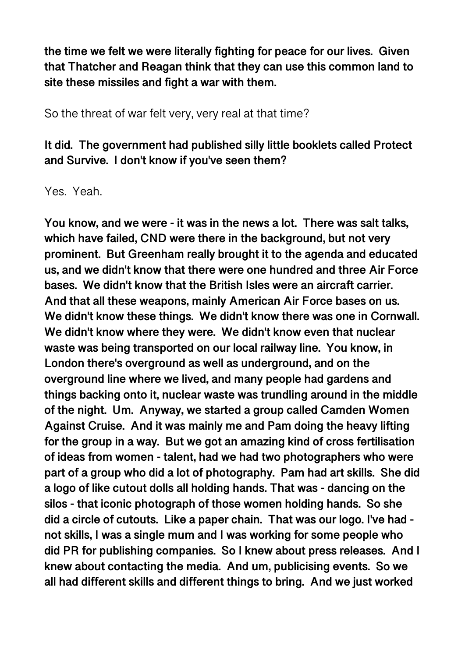**the time we felt we were literally fighting for peace for our lives. Given that Thatcher and Reagan think that they can use this common land to site these missiles and fight a war with them.** 

So the threat of war felt very, very real at that time?

#### **It did. The government had published silly little booklets called Protect and Survive. I don't know if you've seen them?**

Yes. Yeah.

**You know, and we were - it was in the news a lot. There was salt talks, which have failed, CND were there in the background, but not very prominent. But Greenham really brought it to the agenda and educated us, and we didn't know that there were one hundred and three Air Force bases. We didn't know that the British Isles were an aircraft carrier. And that all these weapons, mainly American Air Force bases on us. We didn't know these things. We didn't know there was one in Cornwall. We didn't know where they were. We didn't know even that nuclear waste was being transported on our local railway line. You know, in London there's overground as well as underground, and on the overground line where we lived, and many people had gardens and things backing onto it, nuclear waste was trundling around in the middle of the night. Um. Anyway, we started a group called Camden Women Against Cruise. And it was mainly me and Pam doing the heavy lifting for the group in a way. But we got an amazing kind of cross fertilisation of ideas from women - talent, had we had two photographers who were part of a group who did a lot of photography. Pam had art skills. She did a logo of like cutout dolls all holding hands. That was - dancing on the silos - that iconic photograph of those women holding hands. So she did a circle of cutouts. Like a paper chain. That was our logo. I've had not skills, I was a single mum and I was working for some people who did PR for publishing companies. So I knew about press releases. And I knew about contacting the media. And um, publicising events. So we all had different skills and different things to bring. And we just worked**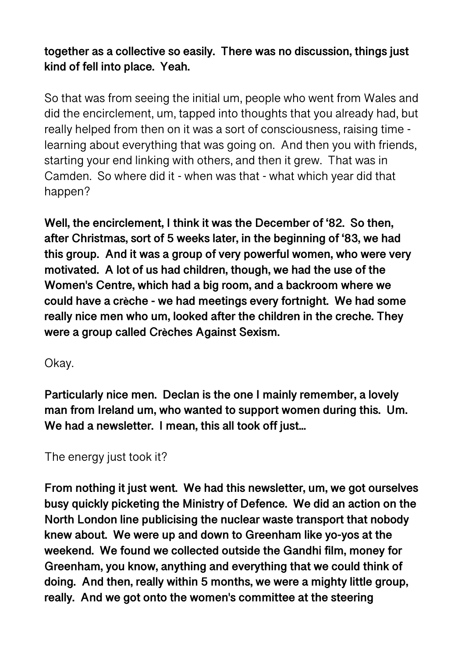**together as a collective so easily. There was no discussion, things just kind of fell into place. Yeah.** 

So that was from seeing the initial um, people who went from Wales and did the encirclement, um, tapped into thoughts that you already had, but really helped from then on it was a sort of consciousness, raising time learning about everything that was going on. And then you with friends, starting your end linking with others, and then it grew. That was in Camden. So where did it - when was that - what which year did that happen?

**Well, the encirclement, I think it was the December of '82. So then, after Christmas, sort of 5 weeks later, in the beginning of '83, we had this group. And it was a group of very powerful women, who were very motivated. A lot of us had children, though, we had the use of the Women's Centre, which had a big room, and a backroom where we could have a crèche - we had meetings every fortnight. We had some really nice men who um, looked after the children in the creche. They were a group called Crèches Against Sexism.** 

Okay.

**Particularly nice men. Declan is the one I mainly remember, a lovely man from Ireland um, who wanted to support women during this. Um. We had a newsletter. I mean, this all took off just...** 

The energy just took it?

**From nothing it just went. We had this newsletter, um, we got ourselves busy quickly picketing the Ministry of Defence. We did an action on the North London line publicising the nuclear waste transport that nobody knew about. We were up and down to Greenham like yo-yos at the weekend. We found we collected outside the Gandhi film, money for Greenham, you know, anything and everything that we could think of doing. And then, really within 5 months, we were a mighty little group, really. And we got onto the women's committee at the steering**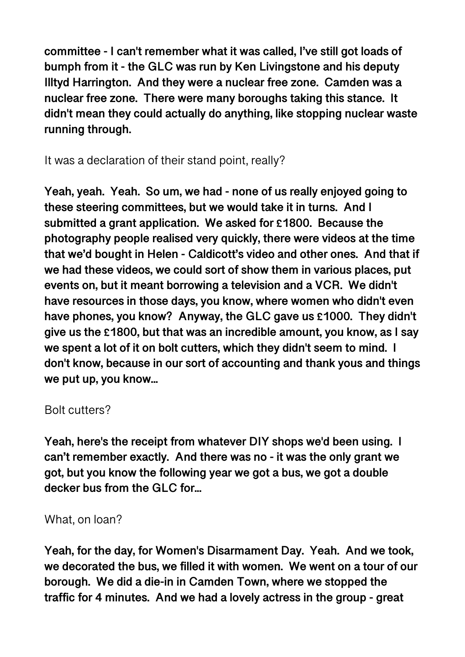**committee - I can't remember what it was called, I've still got loads of bumph from it - the GLC was run by Ken Livingstone and his deputy Illtyd Harrington. And they were a nuclear free zone. Camden was a nuclear free zone. There were many boroughs taking this stance. It didn't mean they could actually do anything, like stopping nuclear waste running through.** 

It was a declaration of their stand point, really?

**Yeah, yeah. Yeah. So um, we had - none of us really enjoyed going to these steering committees, but we would take it in turns. And I submitted a grant application. We asked for £1800. Because the photography people realised very quickly, there were videos at the time that we'd bought in Helen - Caldicott's video and other ones. And that if we had these videos, we could sort of show them in various places, put events on, but it meant borrowing a television and a VCR. We didn't have resources in those days, you know, where women who didn't even have phones, you know? Anyway, the GLC gave us £1000. They didn't give us the £1800, but that was an incredible amount, you know, as I say we spent a lot of it on bolt cutters, which they didn't seem to mind. I don't know, because in our sort of accounting and thank yous and things we put up, you know...** 

#### Bolt cutters?

**Yeah, here's the receipt from whatever DIY shops we'd been using. I can't remember exactly. And there was no - it was the only grant we got, but you know the following year we got a bus, we got a double decker bus from the GLC for...** 

#### What, on loan?

**Yeah, for the day, for Women's Disarmament Day. Yeah. And we took, we decorated the bus, we filled it with women. We went on a tour of our borough. We did a die-in in Camden Town, where we stopped the traffic for 4 minutes. And we had a lovely actress in the group - great**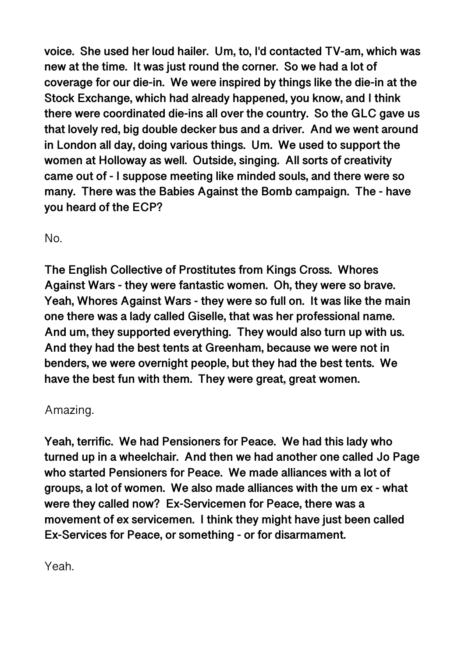**voice. She used her loud hailer. Um, to, I'd contacted TV-am, which was new at the time. It was just round the corner. So we had a lot of coverage for our die-in. We were inspired by things like the die-in at the Stock Exchange, which had already happened, you know, and I think there were coordinated die-ins all over the country. So the GLC gave us that lovely red, big double decker bus and a driver. And we went around in London all day, doing various things. Um. We used to support the women at Holloway as well. Outside, singing. All sorts of creativity came out of - I suppose meeting like minded souls, and there were so many. There was the Babies Against the Bomb campaign. The - have you heard of the ECP?** 

No.

**The English Collective of Prostitutes from Kings Cross. Whores Against Wars - they were fantastic women. Oh, they were so brave. Yeah, Whores Against Wars - they were so full on. It was like the main one there was a lady called Giselle, that was her professional name. And um, they supported everything. They would also turn up with us. And they had the best tents at Greenham, because we were not in benders, we were overnight people, but they had the best tents. We have the best fun with them. They were great, great women.** 

## Amazing.

**Yeah, terrific. We had Pensioners for Peace. We had this lady who turned up in a wheelchair. And then we had another one called Jo Page who started Pensioners for Peace. We made alliances with a lot of groups, a lot of women. We also made alliances with the um ex - what were they called now? Ex-Servicemen for Peace, there was a movement of ex servicemen. I think they might have just been called Ex-Services for Peace, or something - or for disarmament.** 

Yeah.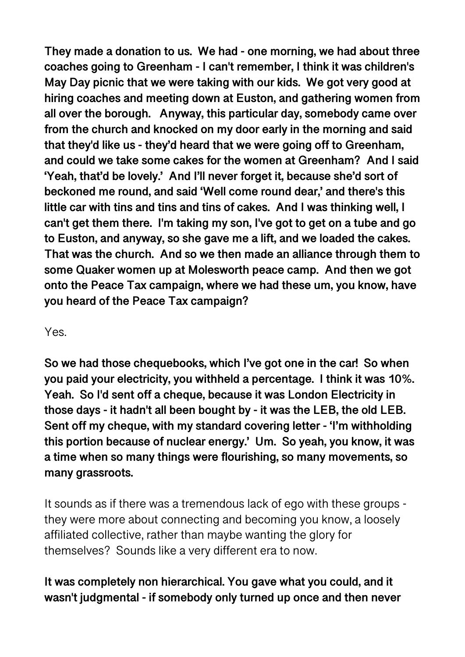**They made a donation to us. We had - one morning, we had about three coaches going to Greenham - I can't remember, I think it was children's May Day picnic that we were taking with our kids. We got very good at hiring coaches and meeting down at Euston, and gathering women from all over the borough. Anyway, this particular day, somebody came over from the church and knocked on my door early in the morning and said that they'd like us - they'd heard that we were going off to Greenham, and could we take some cakes for the women at Greenham? And I said 'Yeah, that'd be lovely.' And I'll never forget it, because she'd sort of beckoned me round, and said 'Well come round dear,' and there's this little car with tins and tins and tins of cakes. And I was thinking well, I can't get them there. I'm taking my son, I've got to get on a tube and go to Euston, and anyway, so she gave me a lift, and we loaded the cakes. That was the church. And so we then made an alliance through them to some Quaker women up at Molesworth peace camp. And then we got onto the Peace Tax campaign, where we had these um, you know, have you heard of the Peace Tax campaign?** 

#### Yes.

**So we had those chequebooks, which I've got one in the car! So when you paid your electricity, you withheld a percentage. I think it was 10%. Yeah. So I'd sent off a cheque, because it was London Electricity in those days - it hadn't all been bought by - it was the LEB, the old LEB. Sent off my cheque, with my standard covering letter - 'I'm withholding this portion because of nuclear energy.' Um. So yeah, you know, it was a time when so many things were flourishing, so many movements, so many grassroots.** 

It sounds as if there was a tremendous lack of ego with these groups they were more about connecting and becoming you know, a loosely affiliated collective, rather than maybe wanting the glory for themselves? Sounds like a very different era to now.

## **It was completely non hierarchical. You gave what you could, and it wasn't judgmental - if somebody only turned up once and then never**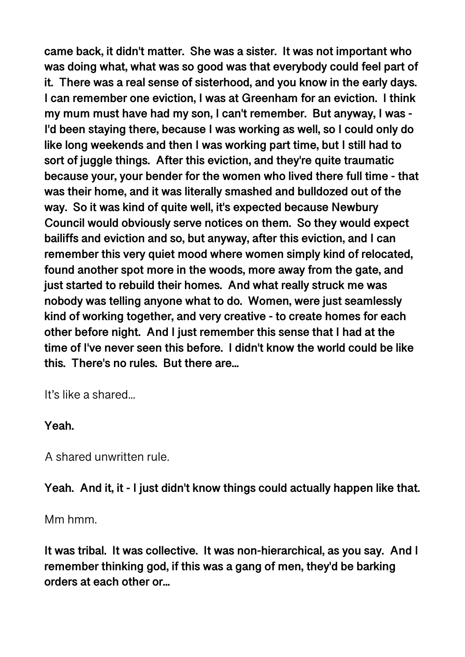**came back, it didn't matter. She was a sister. It was not important who was doing what, what was so good was that everybody could feel part of it. There was a real sense of sisterhood, and you know in the early days. I can remember one eviction, I was at Greenham for an eviction. I think my mum must have had my son, I can't remember. But anyway, I was - I'd been staying there, because I was working as well, so I could only do like long weekends and then I was working part time, but I still had to sort of juggle things. After this eviction, and they're quite traumatic because your, your bender for the women who lived there full time - that was their home, and it was literally smashed and bulldozed out of the way. So it was kind of quite well, it's expected because Newbury Council would obviously serve notices on them. So they would expect bailiffs and eviction and so, but anyway, after this eviction, and I can remember this very quiet mood where women simply kind of relocated, found another spot more in the woods, more away from the gate, and just started to rebuild their homes. And what really struck me was nobody was telling anyone what to do. Women, were just seamlessly kind of working together, and very creative - to create homes for each other before night. And I just remember this sense that I had at the time of I've never seen this before. I didn't know the world could be like this. There's no rules. But there are...** 

It's like a shared...

#### **Yeah.**

A shared unwritten rule.

**Yeah. And it, it - I just didn't know things could actually happen like that.** 

Mm hmm.

**It was tribal. It was collective. It was non-hierarchical, as you say. And I remember thinking god, if this was a gang of men, they'd be barking orders at each other or...**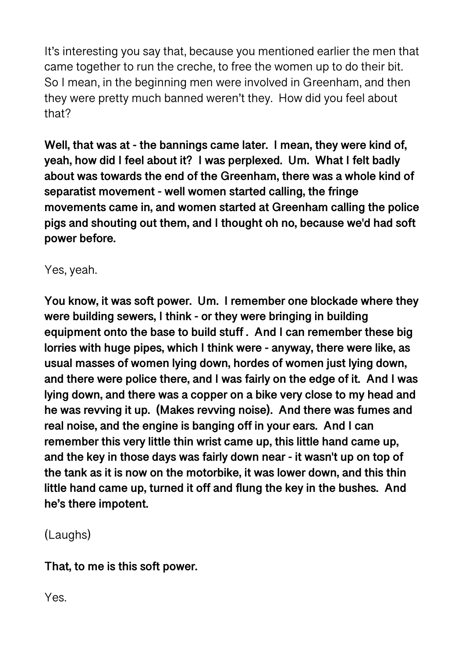It's interesting you say that, because you mentioned earlier the men that came together to run the creche, to free the women up to do their bit. So I mean, in the beginning men were involved in Greenham, and then they were pretty much banned weren't they. How did you feel about that?

**Well, that was at - the bannings came later. I mean, they were kind of, yeah, how did I feel about it? I was perplexed. Um. What I felt badly about was towards the end of the Greenham, there was a whole kind of separatist movement - well women started calling, the fringe movements came in, and women started at Greenham calling the police pigs and shouting out them, and I thought oh no, because we'd had soft power before.** 

Yes, yeah.

**You know, it was soft power. Um. I remember one blockade where they were building sewers, I think - or they were bringing in building equipment onto the base to build stuff . And I can remember these big lorries with huge pipes, which I think were - anyway, there were like, as usual masses of women lying down, hordes of women just lying down, and there were police there, and I was fairly on the edge of it. And I was lying down, and there was a copper on a bike very close to my head and he was revving it up. (Makes revving noise). And there was fumes and real noise, and the engine is banging off in your ears. And I can remember this very little thin wrist came up, this little hand came up, and the key in those days was fairly down near - it wasn't up on top of the tank as it is now on the motorbike, it was lower down, and this thin little hand came up, turned it off and flung the key in the bushes. And he's there impotent.** 

(Laughs)

**That, to me is this soft power.** 

Yes.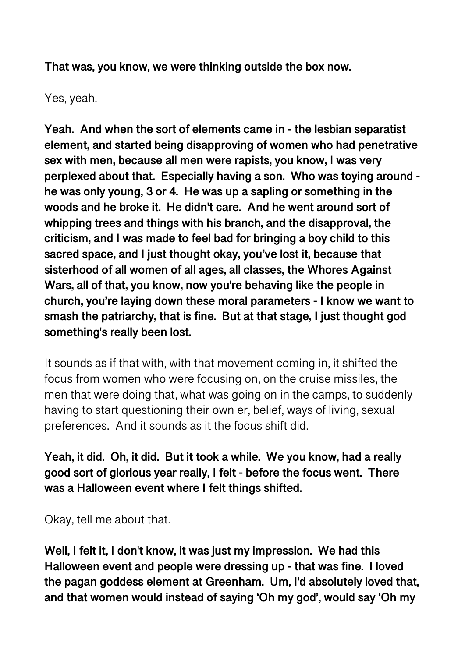**That was, you know, we were thinking outside the box now.** 

Yes, yeah.

**Yeah. And when the sort of elements came in - the lesbian separatist element, and started being disapproving of women who had penetrative sex with men, because all men were rapists, you know, I was very perplexed about that. Especially having a son. Who was toying around he was only young, 3 or 4. He was up a sapling or something in the woods and he broke it. He didn't care. And he went around sort of whipping trees and things with his branch, and the disapproval, the criticism, and I was made to feel bad for bringing a boy child to this sacred space, and I just thought okay, you've lost it, because that sisterhood of all women of all ages, all classes, the Whores Against Wars, all of that, you know, now you're behaving like the people in church, you're laying down these moral parameters - I know we want to smash the patriarchy, that is fine. But at that stage, I just thought god something's really been lost.** 

It sounds as if that with, with that movement coming in, it shifted the focus from women who were focusing on, on the cruise missiles, the men that were doing that, what was going on in the camps, to suddenly having to start questioning their own er, belief, ways of living, sexual preferences. And it sounds as it the focus shift did.

**Yeah, it did. Oh, it did. But it took a while. We you know, had a really good sort of glorious year really, I felt - before the focus went. There was a Halloween event where I felt things shifted.** 

Okay, tell me about that.

**Well, I felt it, I don't know, it was just my impression. We had this Halloween event and people were dressing up - that was fine. I loved the pagan goddess element at Greenham. Um, I'd absolutely loved that, and that women would instead of saying 'Oh my god', would say 'Oh my**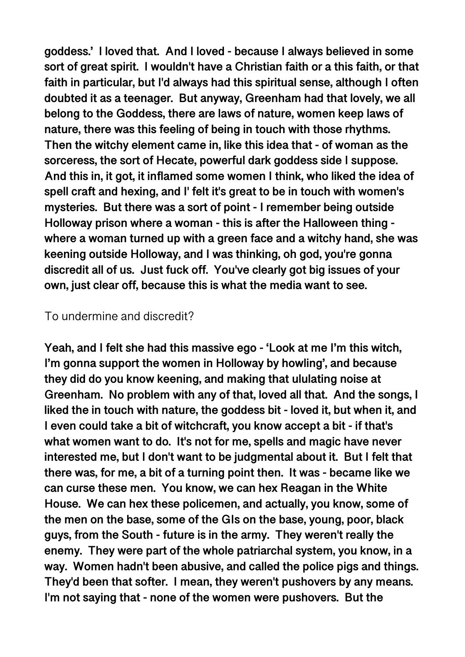**goddess.' I loved that. And I loved - because I always believed in some sort of great spirit. I wouldn't have a Christian faith or a this faith, or that faith in particular, but I'd always had this spiritual sense, although I often doubted it as a teenager. But anyway, Greenham had that lovely, we all belong to the Goddess, there are laws of nature, women keep laws of nature, there was this feeling of being in touch with those rhythms. Then the witchy element came in, like this idea that - of woman as the sorceress, the sort of Hecate, powerful dark goddess side I suppose. And this in, it got, it inflamed some women I think, who liked the idea of spell craft and hexing, and I' felt it's great to be in touch with women's mysteries. But there was a sort of point - I remember being outside Holloway prison where a woman - this is after the Halloween thing where a woman turned up with a green face and a witchy hand, she was keening outside Holloway, and I was thinking, oh god, you're gonna discredit all of us. Just fuck off. You've clearly got big issues of your own, just clear off, because this is what the media want to see.** 

#### To undermine and discredit?

**Yeah, and I felt she had this massive ego - 'Look at me I'm this witch, I'm gonna support the women in Holloway by howling', and because they did do you know keening, and making that ululating noise at Greenham. No problem with any of that, loved all that. And the songs, I liked the in touch with nature, the goddess bit - loved it, but when it, and I even could take a bit of witchcraft, you know accept a bit - if that's what women want to do. It's not for me, spells and magic have never interested me, but I don't want to be judgmental about it. But I felt that there was, for me, a bit of a turning point then. It was - became like we can curse these men. You know, we can hex Reagan in the White House. We can hex these policemen, and actually, you know, some of the men on the base, some of the GIs on the base, young, poor, black guys, from the South - future is in the army. They weren't really the enemy. They were part of the whole patriarchal system, you know, in a way. Women hadn't been abusive, and called the police pigs and things. They'd been that softer. I mean, they weren't pushovers by any means. I'm not saying that - none of the women were pushovers. But the**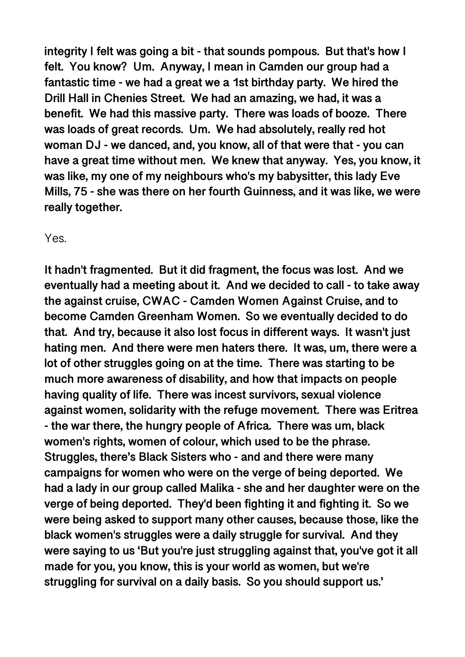**integrity I felt was going a bit - that sounds pompous. But that's how I felt. You know? Um. Anyway, I mean in Camden our group had a fantastic time - we had a great we a 1st birthday party. We hired the Drill Hall in Chenies Street. We had an amazing, we had, it was a benefit. We had this massive party. There was loads of booze. There was loads of great records. Um. We had absolutely, really red hot woman DJ - we danced, and, you know, all of that were that - you can have a great time without men. We knew that anyway. Yes, you know, it was like, my one of my neighbours who's my babysitter, this lady Eve Mills, 75 - she was there on her fourth Guinness, and it was like, we were really together.** 

Yes.

**It hadn't fragmented. But it did fragment, the focus was lost. And we eventually had a meeting about it. And we decided to call - to take away the against cruise, CWAC - Camden Women Against Cruise, and to become Camden Greenham Women. So we eventually decided to do that. And try, because it also lost focus in different ways. It wasn't just hating men. And there were men haters there. It was, um, there were a lot of other struggles going on at the time. There was starting to be much more awareness of disability, and how that impacts on people having quality of life. There was incest survivors, sexual violence against women, solidarity with the refuge movement. There was Eritrea - the war there, the hungry people of Africa. There was um, black women's rights, women of colour, which used to be the phrase. Struggles, there's Black Sisters who - and and there were many campaigns for women who were on the verge of being deported. We had a lady in our group called Malika - she and her daughter were on the verge of being deported. They'd been fighting it and fighting it. So we were being asked to support many other causes, because those, like the black women's struggles were a daily struggle for survival. And they were saying to us 'But you're just struggling against that, you've got it all made for you, you know, this is your world as women, but we're struggling for survival on a daily basis. So you should support us.'**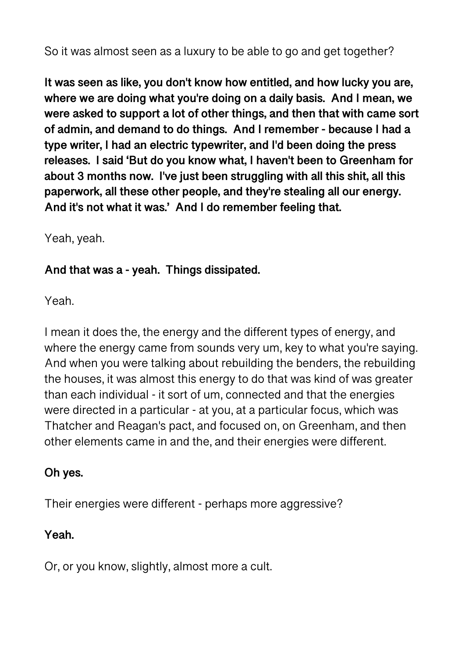So it was almost seen as a luxury to be able to go and get together?

**It was seen as like, you don't know how entitled, and how lucky you are, where we are doing what you're doing on a daily basis. And I mean, we were asked to support a lot of other things, and then that with came sort of admin, and demand to do things. And I remember - because I had a type writer, I had an electric typewriter, and I'd been doing the press releases. I said 'But do you know what, I haven't been to Greenham for about 3 months now. I've just been struggling with all this shit, all this paperwork, all these other people, and they're stealing all our energy. And it's not what it was.' And I do remember feeling that.** 

Yeah, yeah.

## **And that was a - yeah. Things dissipated.**

Yeah.

I mean it does the, the energy and the different types of energy, and where the energy came from sounds very um, key to what you're saying. And when you were talking about rebuilding the benders, the rebuilding the houses, it was almost this energy to do that was kind of was greater than each individual - it sort of um, connected and that the energies were directed in a particular - at you, at a particular focus, which was Thatcher and Reagan's pact, and focused on, on Greenham, and then other elements came in and the, and their energies were different.

## **Oh yes.**

Their energies were different - perhaps more aggressive?

## **Yeah.**

Or, or you know, slightly, almost more a cult.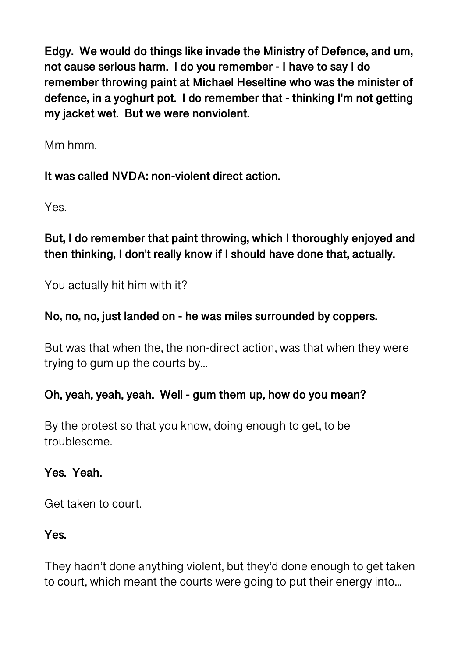**Edgy. We would do things like invade the Ministry of Defence, and um, not cause serious harm. I do you remember - I have to say I do remember throwing paint at Michael Heseltine who was the minister of defence, in a yoghurt pot. I do remember that - thinking I'm not getting my jacket wet. But we were nonviolent.** 

Mm hmm.

**It was called NVDA: non-violent direct action.** 

Yes.

## **But, I do remember that paint throwing, which I thoroughly enjoyed and then thinking, I don't really know if I should have done that, actually.**

You actually hit him with it?

## **No, no, no, just landed on - he was miles surrounded by coppers.**

But was that when the, the non-direct action, was that when they were trying to gum up the courts by...

## **Oh, yeah, yeah, yeah. Well - gum them up, how do you mean?**

By the protest so that you know, doing enough to get, to be troublesome.

**Yes. Yeah.** 

Get taken to court.

#### **Yes.**

They hadn't done anything violent, but they'd done enough to get taken to court, which meant the courts were going to put their energy into...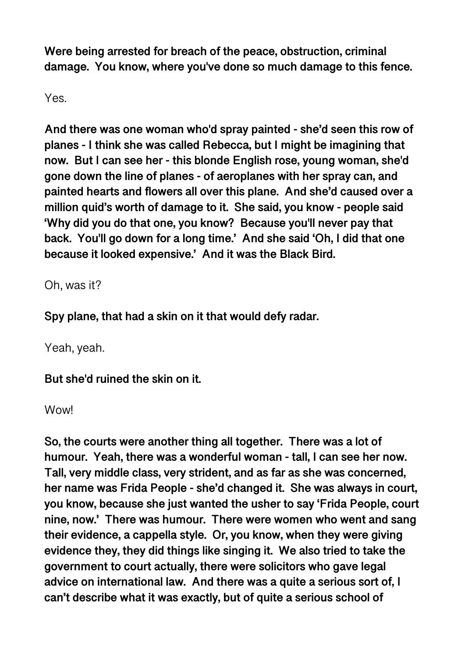**Were being arrested for breach of the peace, obstruction, criminal damage. You know, where you've done so much damage to this fence.** 

Yes.

**And there was one woman who'd spray painted - she'd seen this row of planes - I think she was called Rebecca, but I might be imagining that now. But I can see her - this blonde English rose, young woman, she'd gone down the line of planes - of aeroplanes with her spray can, and painted hearts and flowers all over this plane. And she'd caused over a million quid's worth of damage to it. She said, you know - people said 'Why did you do that one, you know? Because you'll never pay that back. You'll go down for a long time.' And she said 'Oh, I did that one because it looked expensive.' And it was the Black Bird.** 

Oh, was it?

**Spy plane, that had a skin on it that would defy radar.** 

Yeah, yeah.

**But she'd ruined the skin on it.** 

Wow!

**So, the courts were another thing all together. There was a lot of humour. Yeah, there was a wonderful woman - tall, I can see her now. Tall, very middle class, very strident, and as far as she was concerned, her name was Frida People - she'd changed it. She was always in court, you know, because she just wanted the usher to say 'Frida People, court nine, now.' There was humour. There were women who went and sang their evidence, a cappella style. Or, you know, when they were giving evidence they, they did things like singing it. We also tried to take the government to court actually, there were solicitors who gave legal advice on international law. And there was a quite a serious sort of, I can't describe what it was exactly, but of quite a serious school of**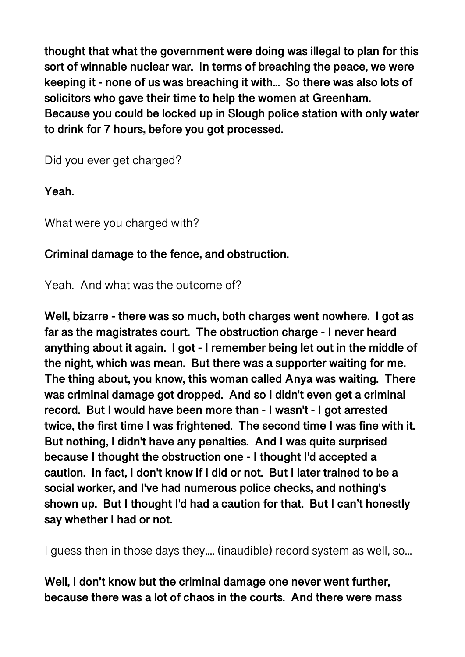**thought that what the government were doing was illegal to plan for this sort of winnable nuclear war. In terms of breaching the peace, we were keeping it - none of us was breaching it with... So there was also lots of solicitors who gave their time to help the women at Greenham. Because you could be locked up in Slough police station with only water to drink for 7 hours, before you got processed.** 

Did you ever get charged?

**Yeah.** 

What were you charged with?

## **Criminal damage to the fence, and obstruction.**

Yeah. And what was the outcome of?

**Well, bizarre - there was so much, both charges went nowhere. I got as far as the magistrates court. The obstruction charge - I never heard anything about it again. I got - I remember being let out in the middle of the night, which was mean. But there was a supporter waiting for me. The thing about, you know, this woman called Anya was waiting. There was criminal damage got dropped. And so I didn't even get a criminal record. But I would have been more than - I wasn't - I got arrested twice, the first time I was frightened. The second time I was fine with it. But nothing, I didn't have any penalties. And I was quite surprised because I thought the obstruction one - I thought I'd accepted a caution. In fact, I don't know if I did or not. But I later trained to be a social worker, and I've had numerous police checks, and nothing's shown up. But I thought I'd had a caution for that. But I can't honestly say whether I had or not.** 

I guess then in those days they.... (inaudible) record system as well, so...

**Well, I don't know but the criminal damage one never went further, because there was a lot of chaos in the courts. And there were mass**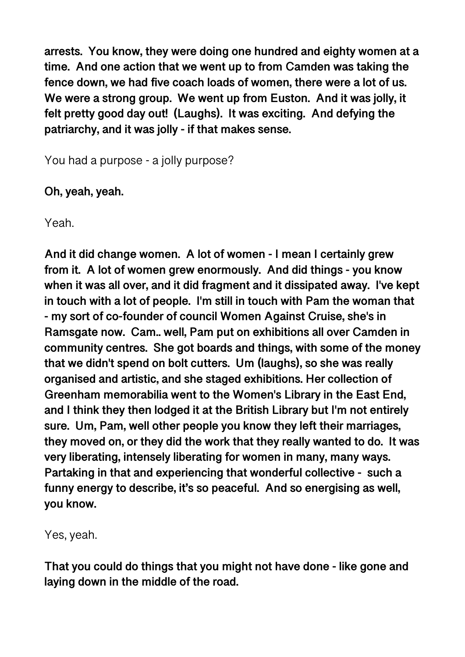**arrests. You know, they were doing one hundred and eighty women at a time. And one action that we went up to from Camden was taking the fence down, we had five coach loads of women, there were a lot of us. We were a strong group. We went up from Euston. And it was jolly, it felt pretty good day out! (Laughs). It was exciting. And defying the patriarchy, and it was jolly - if that makes sense.** 

You had a purpose - a jolly purpose?

**Oh, yeah, yeah.** 

Yeah.

**And it did change women. A lot of women - I mean I certainly grew from it. A lot of women grew enormously. And did things - you know when it was all over, and it did fragment and it dissipated away. I've kept in touch with a lot of people. I'm still in touch with Pam the woman that - my sort of co-founder of council Women Against Cruise, she's in Ramsgate now. Cam.. well, Pam put on exhibitions all over Camden in community centres. She got boards and things, with some of the money that we didn't spend on bolt cutters. Um (laughs), so she was really organised and artistic, and she staged exhibitions. Her collection of Greenham memorabilia went to the Women's Library in the East End, and I think they then lodged it at the British Library but I'm not entirely sure. Um, Pam, well other people you know they left their marriages, they moved on, or they did the work that they really wanted to do. It was very liberating, intensely liberating for women in many, many ways. Partaking in that and experiencing that wonderful collective - such a funny energy to describe, it's so peaceful. And so energising as well, you know.** 

Yes, yeah.

**That you could do things that you might not have done - like gone and laying down in the middle of the road.**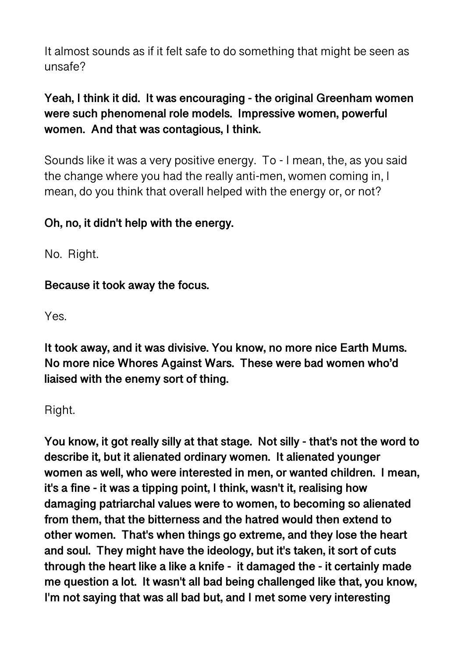It almost sounds as if it felt safe to do something that might be seen as unsafe?

## **Yeah, I think it did. It was encouraging - the original Greenham women were such phenomenal role models. Impressive women, powerful women. And that was contagious, I think.**

Sounds like it was a very positive energy. To - I mean, the, as you said the change where you had the really anti-men, women coming in, I mean, do you think that overall helped with the energy or, or not?

## **Oh, no, it didn't help with the energy.**

No. Right.

**Because it took away the focus.** 

Yes.

**It took away, and it was divisive. You know, no more nice Earth Mums. No more nice Whores Against Wars. These were bad women who'd liaised with the enemy sort of thing.** 

Right.

**You know, it got really silly at that stage. Not silly - that's not the word to describe it, but it alienated ordinary women. It alienated younger women as well, who were interested in men, or wanted children. I mean, it's a fine - it was a tipping point, I think, wasn't it, realising how damaging patriarchal values were to women, to becoming so alienated from them, that the bitterness and the hatred would then extend to other women. That's when things go extreme, and they lose the heart and soul. They might have the ideology, but it's taken, it sort of cuts through the heart like a like a knife - it damaged the - it certainly made me question a lot. It wasn't all bad being challenged like that, you know, I'm not saying that was all bad but, and I met some very interesting**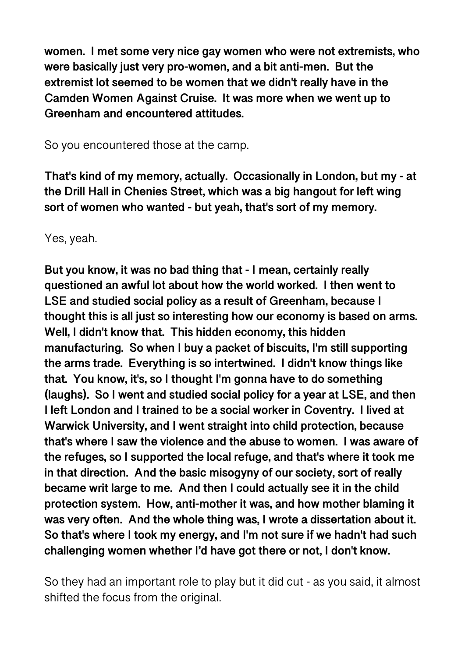**women. I met some very nice gay women who were not extremists, who were basically just very pro-women, and a bit anti-men. But the extremist lot seemed to be women that we didn't really have in the Camden Women Against Cruise. It was more when we went up to Greenham and encountered attitudes.** 

So you encountered those at the camp.

**That's kind of my memory, actually. Occasionally in London, but my - at the Drill Hall in Chenies Street, which was a big hangout for left wing sort of women who wanted - but yeah, that's sort of my memory.** 

Yes, yeah.

**But you know, it was no bad thing that - I mean, certainly really questioned an awful lot about how the world worked. I then went to LSE and studied social policy as a result of Greenham, because I thought this is all just so interesting how our economy is based on arms. Well, I didn't know that. This hidden economy, this hidden manufacturing. So when I buy a packet of biscuits, I'm still supporting the arms trade. Everything is so intertwined. I didn't know things like that. You know, it's, so I thought I'm gonna have to do something (laughs). So I went and studied social policy for a year at LSE, and then I left London and I trained to be a social worker in Coventry. I lived at Warwick University, and I went straight into child protection, because that's where I saw the violence and the abuse to women. I was aware of the refuges, so I supported the local refuge, and that's where it took me in that direction. And the basic misogyny of our society, sort of really became writ large to me. And then I could actually see it in the child protection system. How, anti-mother it was, and how mother blaming it was very often. And the whole thing was, I wrote a dissertation about it. So that's where I took my energy, and I'm not sure if we hadn't had such challenging women whether I'd have got there or not, I don't know.** 

So they had an important role to play but it did cut - as you said, it almost shifted the focus from the original.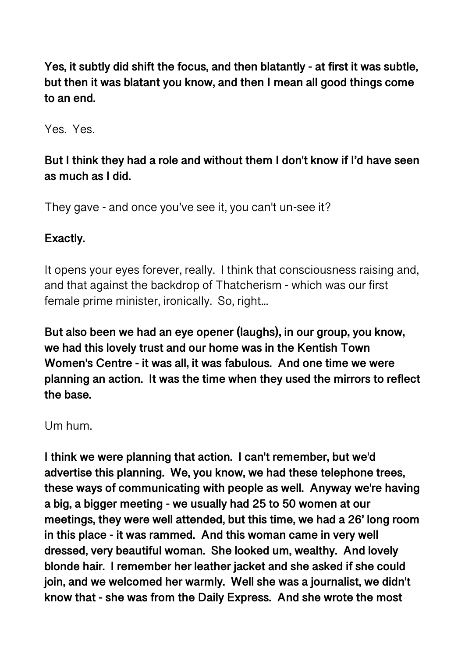**Yes, it subtly did shift the focus, and then blatantly - at first it was subtle, but then it was blatant you know, and then I mean all good things come to an end.** 

Yes. Yes.

## **But I think they had a role and without them I don't know if I'd have seen as much as I did.**

They gave - and once you've see it, you can't un-see it?

#### **Exactly.**

It opens your eyes forever, really. I think that consciousness raising and, and that against the backdrop of Thatcherism - which was our first female prime minister, ironically. So, right...

**But also been we had an eye opener (laughs), in our group, you know, we had this lovely trust and our home was in the Kentish Town Women's Centre - it was all, it was fabulous. And one time we were planning an action. It was the time when they used the mirrors to reflect the base.** 

#### Um hum.

**I think we were planning that action. I can't remember, but we'd advertise this planning. We, you know, we had these telephone trees, these ways of communicating with people as well. Anyway we're having a big, a bigger meeting - we usually had 25 to 50 women at our meetings, they were well attended, but this time, we had a 26' long room in this place - it was rammed. And this woman came in very well dressed, very beautiful woman. She looked um, wealthy. And lovely blonde hair. I remember her leather jacket and she asked if she could join, and we welcomed her warmly. Well she was a journalist, we didn't know that - she was from the Daily Express. And she wrote the most**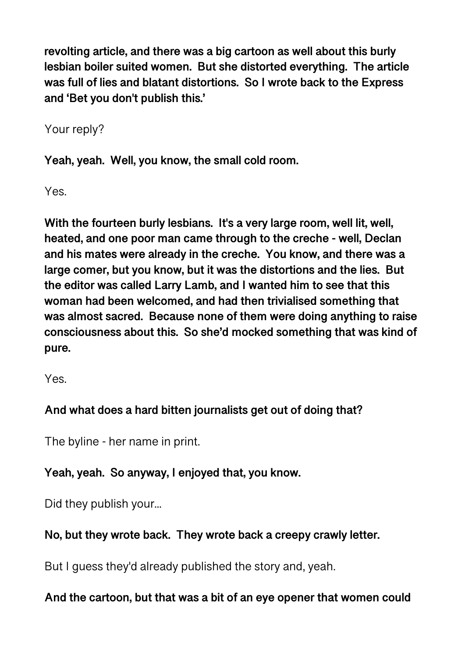**revolting article, and there was a big cartoon as well about this burly lesbian boiler suited women. But she distorted everything. The article was full of lies and blatant distortions. So I wrote back to the Express and 'Bet you don't publish this.'** 

Your reply?

**Yeah, yeah. Well, you know, the small cold room.** 

Yes.

**With the fourteen burly lesbians. It's a very large room, well lit, well, heated, and one poor man came through to the creche - well, Declan and his mates were already in the creche. You know, and there was a large comer, but you know, but it was the distortions and the lies. But the editor was called Larry Lamb, and I wanted him to see that this woman had been welcomed, and had then trivialised something that was almost sacred. Because none of them were doing anything to raise consciousness about this. So she'd mocked something that was kind of pure.** 

Yes.

# **And what does a hard bitten journalists get out of doing that?**

The byline - her name in print.

**Yeah, yeah. So anyway, I enjoyed that, you know.** 

Did they publish your...

# **No, but they wrote back. They wrote back a creepy crawly letter.**

But I guess they'd already published the story and, yeah.

## **And the cartoon, but that was a bit of an eye opener that women could**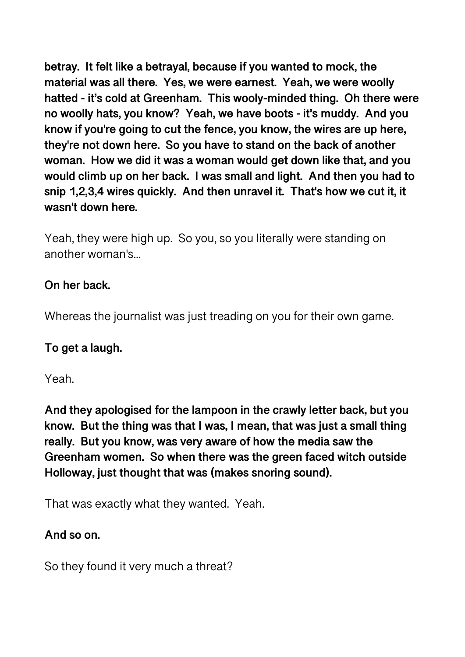**betray. It felt like a betrayal, because if you wanted to mock, the material was all there. Yes, we were earnest. Yeah, we were woolly hatted - it's cold at Greenham. This wooly-minded thing. Oh there were no woolly hats, you know? Yeah, we have boots - it's muddy. And you know if you're going to cut the fence, you know, the wires are up here, they're not down here. So you have to stand on the back of another woman. How we did it was a woman would get down like that, and you would climb up on her back. I was small and light. And then you had to snip 1,2,3,4 wires quickly. And then unravel it. That's how we cut it, it wasn't down here.** 

Yeah, they were high up. So you, so you literally were standing on another woman's...

#### **On her back.**

Whereas the journalist was just treading on you for their own game.

#### **To get a laugh.**

Yeah.

**And they apologised for the lampoon in the crawly letter back, but you know. But the thing was that I was, I mean, that was just a small thing really. But you know, was very aware of how the media saw the Greenham women. So when there was the green faced witch outside Holloway, just thought that was (makes snoring sound).** 

That was exactly what they wanted. Yeah.

## **And so on.**

So they found it very much a threat?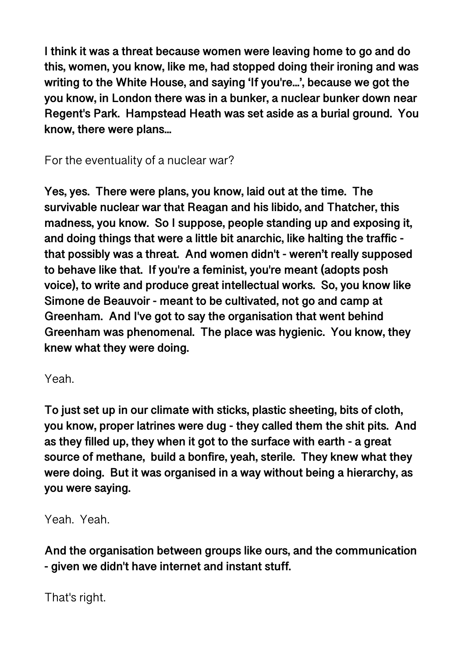**I think it was a threat because women were leaving home to go and do this, women, you know, like me, had stopped doing their ironing and was writing to the White House, and saying 'If you're...', because we got the you know, in London there was in a bunker, a nuclear bunker down near Regent's Park. Hampstead Heath was set aside as a burial ground. You know, there were plans...** 

For the eventuality of a nuclear war?

**Yes, yes. There were plans, you know, laid out at the time. The survivable nuclear war that Reagan and his libido, and Thatcher, this madness, you know. So I suppose, people standing up and exposing it, and doing things that were a little bit anarchic, like halting the traffic that possibly was a threat. And women didn't - weren't really supposed to behave like that. If you're a feminist, you're meant (adopts posh voice), to write and produce great intellectual works. So, you know like Simone de Beauvoir - meant to be cultivated, not go and camp at Greenham. And I've got to say the organisation that went behind Greenham was phenomenal. The place was hygienic. You know, they knew what they were doing.** 

Yeah.

**To just set up in our climate with sticks, plastic sheeting, bits of cloth, you know, proper latrines were dug - they called them the shit pits. And as they filled up, they when it got to the surface with earth - a great source of methane, build a bonfire, yeah, sterile. They knew what they were doing. But it was organised in a way without being a hierarchy, as you were saying.** 

Yeah. Yeah.

**And the organisation between groups like ours, and the communication - given we didn't have internet and instant stuff.** 

That's right.